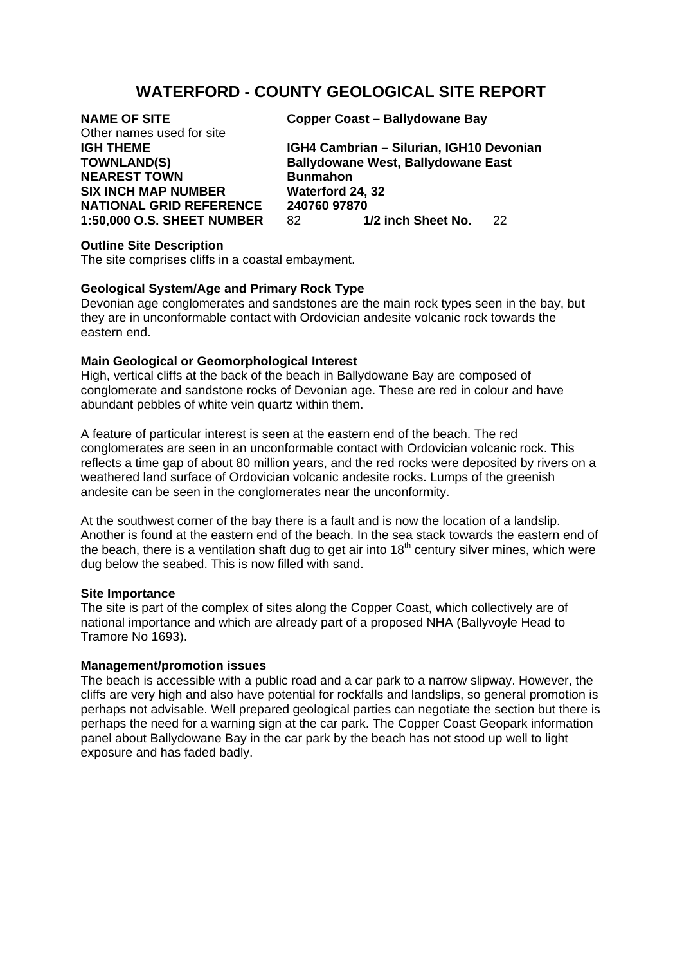# **WATERFORD - COUNTY GEOLOGICAL SITE REPORT**

Other names used for site **NEAREST TOWN Bunmahon SIX INCH MAP NUMBER Waterford 24, 32** 

**NAME OF SITE Copper Coast – Ballydowane Bay** 

**IGH THEME IGH4 Cambrian – Silurian, IGH10 Devonian TOWNLAND(S) Ballydowane West, Ballydowane East NATIONAL GRID REFERENCE 240760 97870<br>1:50.000 O.S. SHEET NUMBER 82 1/2 inch Sheet No. 1:50,000 O.S. SHEET NUMBER** 82 **1/2 inch Sheet No.** 22

### **Outline Site Description**

The site comprises cliffs in a coastal embayment.

# **Geological System/Age and Primary Rock Type**

Devonian age conglomerates and sandstones are the main rock types seen in the bay, but they are in unconformable contact with Ordovician andesite volcanic rock towards the eastern end.

## **Main Geological or Geomorphological Interest**

High, vertical cliffs at the back of the beach in Ballydowane Bay are composed of conglomerate and sandstone rocks of Devonian age. These are red in colour and have abundant pebbles of white vein quartz within them.

A feature of particular interest is seen at the eastern end of the beach. The red conglomerates are seen in an unconformable contact with Ordovician volcanic rock. This reflects a time gap of about 80 million years, and the red rocks were deposited by rivers on a weathered land surface of Ordovician volcanic andesite rocks. Lumps of the greenish andesite can be seen in the conglomerates near the unconformity.

At the southwest corner of the bay there is a fault and is now the location of a landslip. Another is found at the eastern end of the beach. In the sea stack towards the eastern end of the beach, there is a ventilation shaft dug to get air into  $18<sup>th</sup>$  century silver mines, which were dug below the seabed. This is now filled with sand.

## **Site Importance**

The site is part of the complex of sites along the Copper Coast, which collectively are of national importance and which are already part of a proposed NHA (Ballyvoyle Head to Tramore No 1693).

# **Management/promotion issues**

The beach is accessible with a public road and a car park to a narrow slipway. However, the cliffs are very high and also have potential for rockfalls and landslips, so general promotion is perhaps not advisable. Well prepared geological parties can negotiate the section but there is perhaps the need for a warning sign at the car park. The Copper Coast Geopark information panel about Ballydowane Bay in the car park by the beach has not stood up well to light exposure and has faded badly.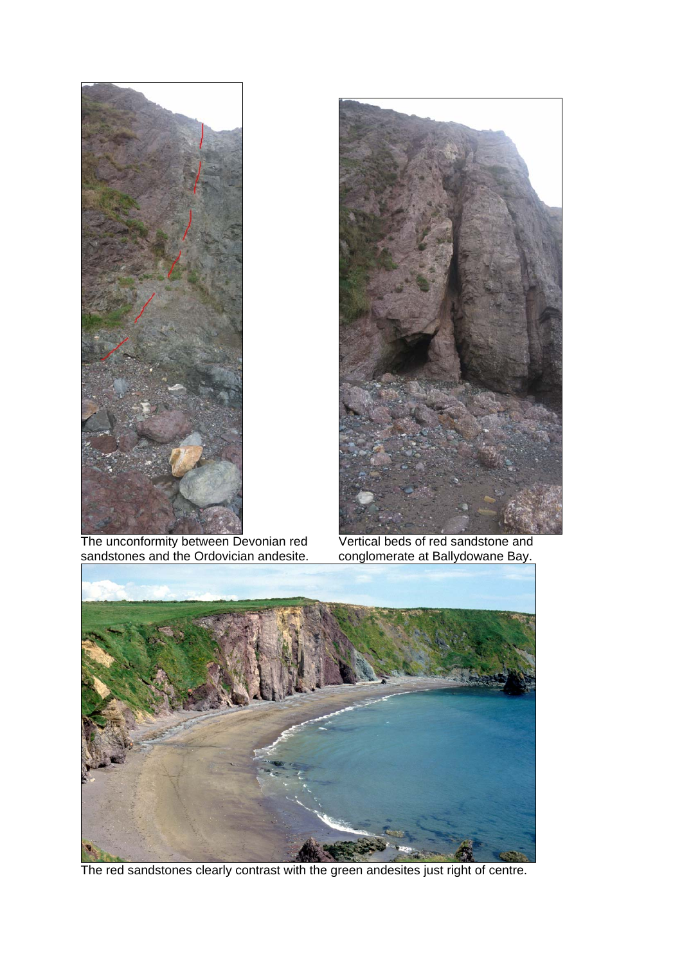

 The unconformity between Devonian red Vertical beds of red sandstone and sandstones and the Ordovician andesite. conglomerate at Ballydowane Bay.





The red sandstones clearly contrast with the green andesites just right of centre.